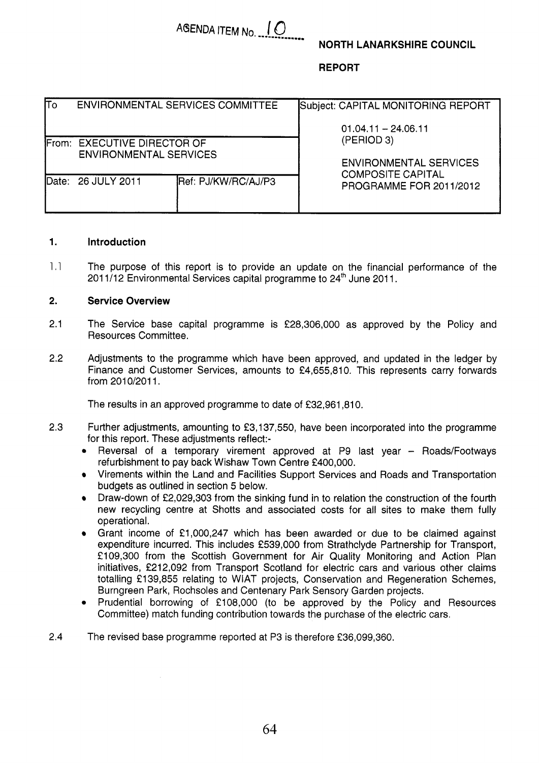# **NORTH LANARKSHIRE COUNCIL**

# **REPORT**

| $\overline{\mathsf{co}}$ |                                                              | ENVIRONMENTAL SERVICES COMMITTEE | Subject: CAPITAL MONITORING REPORT          |  |  |  |
|--------------------------|--------------------------------------------------------------|----------------------------------|---------------------------------------------|--|--|--|
|                          |                                                              |                                  | $01.04.11 - 24.06.11$                       |  |  |  |
|                          | From: EXECUTIVE DIRECTOR OF<br><b>ENVIRONMENTAL SERVICES</b> |                                  | (PERIOD 3)<br><b>ENVIRONMENTAL SERVICES</b> |  |  |  |
| Date:                    | 26 JULY 2011                                                 | Ref: PJ/KW/RC/AJ/P3              | <b>COMPOSITE CAPITAL</b>                    |  |  |  |
|                          |                                                              |                                  | PROGRAMME FOR 2011/2012                     |  |  |  |

AGENDA ITEM No. 10

#### **1. Introduction**

1,l The purpose of this report is to provide an update on the financial performance of the 2011/12 Environmental Services capital programme to  $24<sup>th</sup>$  June 2011.

#### **2. Service Overview**

- 2.1 The Service base capital programme is €28,306,000 as approved by the Policy and Resources Committee.
- 2.2 Adjustments to the programme which have been approved, and updated in the ledger by Finance and Customer Services, amounts to €4,655,810. This represents carry forwards from 2010/2011.

The results in an approved programme to date of €32,961,810.

- 2.3 Further adjustments, amounting to €3,137,550, have been incorporated into the programme for this report. These adjustments reflect:-
	- $\bullet$ Reversal of a temporary virement approved at P9 last year - Roads/Footways refurbishment to pay back Wishaw Town Centre €400,000.
	- Virements within the Land and Facilities Support Services and Roads and Transportation budgets as outlined in section *5* below.
	- Draw-down of £2,029,303 from the sinking fund in to relation the construction of the fourth  $\bullet$ new recycling centre at Shotts and associated costs for all sites to make them fully operational.
	- Grant income of €1,000,247 which has been awarded or due to be claimed against  $\bullet$ expenditure incurred. This includes €539,000 from Strathclyde Partnership for Transport, €109,300 from the Scottish Government for Air Quality Monitoring and Action Plan initiatives, £212,092 from Transport Scotland for electric cars and various other claims totalling £139,855 relating to WIAT projects, Conservation and Regeneration Schemes, Burngreen Park, Rochsoles and Centenary Park Sensory Garden projects.
	- Prudential borrowing of €108,000 (to be approved by the Policy and Resources Committee) match funding contribution towards the purchase of the electric cars.
- 2.4 The revised base programme reported at P3 is therefore €36,099,360,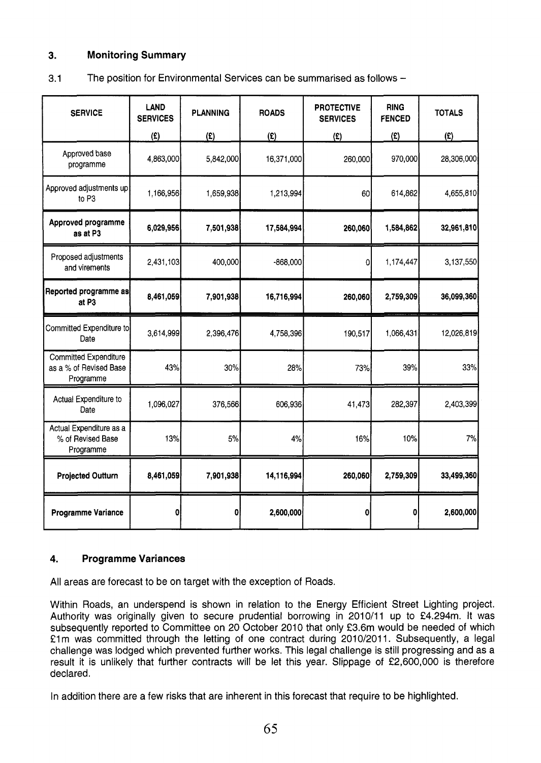# **3. Monitoring Summary**

| 3.1 | The position for Environmental Services can be summarised as follows - |
|-----|------------------------------------------------------------------------|
|     |                                                                        |

| <b>SERVICE</b>                                                      | <b>LAND</b><br><b>SERVICES</b> | <b>PLANNING</b> | <b>ROADS</b> | <b>PROTECTIVE</b><br><b>SERVICES</b> | <b>RING</b><br><b>FENCED</b> | <b>TOTALS</b> |
|---------------------------------------------------------------------|--------------------------------|-----------------|--------------|--------------------------------------|------------------------------|---------------|
|                                                                     | (E)                            | (2)             | (E)          | (E)                                  | (E)                          | f(x)          |
| Approved base<br>programme                                          | 4,863,000                      | 5,842,000       | 16,371,000   | 260,000                              | 970,000                      | 28,306,000    |
| Approved adjustments up<br>to P3                                    | 1,166,956                      | 1,659,938       | 1,213,994    | 60                                   | 614,862                      | 4,655,810     |
| Approved programme<br>as at P3                                      | 6,029,956                      | 7,501,938       | 17,584,994   | 260,060                              | 1,584,862                    | 32,961,810    |
| Proposed adjustments<br>and virements                               | 2,431,103                      | 400,000         | $-868,000$   | $\overline{0}$                       | 1,174,447                    | 3,137,550     |
| Reported programme as<br>at P <sub>3</sub>                          | 8,461,059                      | 7,901,938       | 16,716,994   | 260,060                              | 2,759,309                    | 36,099,360    |
| Committed Expenditure to<br>Date                                    | 3,614,999                      | 2,396,476       | 4,758,396    | 190,517                              | 1,066,431                    | 12,026,819    |
| <b>Committed Expenditure</b><br>as a % of Revised Base<br>Programme | 43%                            | 30%             | 28%          | 73%                                  | 39%                          | 33%           |
| Actual Expenditure to<br>Date                                       | 1,096,027                      | 376,566         | 606,936      | 41,473                               | 282,397                      | 2,403,399     |
| Actual Expenditure as a<br>% of Revised Base<br>Programme           | 13%                            | 5%              | 4%           | 16%                                  | 10%                          | 7%            |
| <b>Projected Outturn</b>                                            | 8,461,059                      | 7,901,938       | 14,116,994   | 260,060                              | 2,759,309                    | 33,499,360    |
| <b>Programme Variance</b>                                           | 0                              | $\mathbf{0}$    | 2,600,000    | 0                                    | 0                            | 2,600,000     |

## **4. Programme Variances**

All areas are forecast to be on target with the exception of Roads.

Within Roads, an underspend is shown in relation to the Energy Efficient Street Lighting project. Authority was originally given to secure prudential borrowing in 2010/11 up to £4.294m. It was subsequently reported to Committee on 20 October 2010 that only £3.6m would be needed of which £1m was committed through the letting of one contract during 2010/2011. Subsequently, a legal challenge was lodged which prevented further works. This legal challenge is still progressing and as a result it is unlikely that further contracts will be let this year. Slippage of £2,600,000 is therefore declared.

In addition there are a few risks that are inherent in this forecast that require to be highlighted.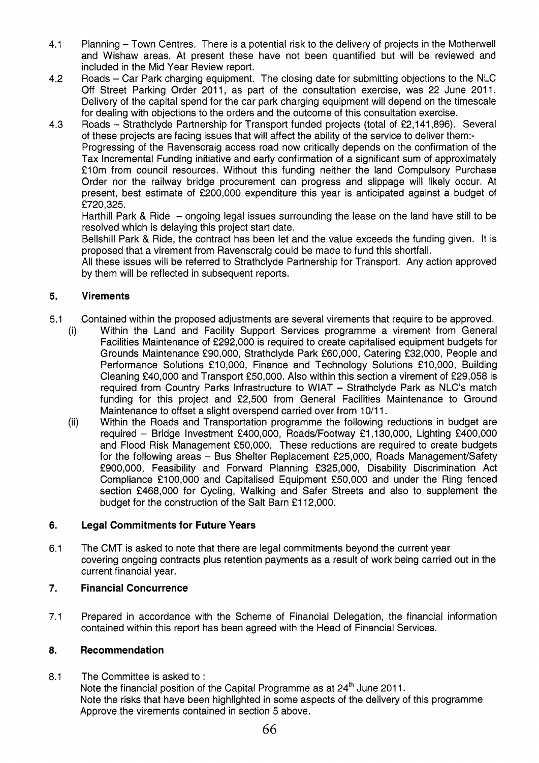- **4.1** Planning Town Centres. There is a potential risk to the delivery of projects in the Motherwell and Wishaw areas. At present these have not been quantified but will be reviewed and included in the Mid Year Review report.
- Roads Car Park charging equipment. The closing date for submitting objections to the NLC Off Street Parking Order **2011,** as part of the consultation exercise, was **22** June **2011.**  Delivery of the capital spend for the car park charging equipment will depend on the timescale for dealing with objections to the orders and the outcome of this consultation exercise. **4.2**
- Roads Strathclyde Partnership for Transport funded projects (total of **€2,141,896).** Several of these projects are facing issues that will affect the ability of the service to deliver them:- Progressing of the Ravenscraig access road now critically depends on the confirmation of the Tax Incremental Funding initiative and early confirmation of a significant sum of approximately €10m from council resources. Without this funding neither the land Compulsory Purchase Order nor the railway bridge procurement can progress and slippage will likely occur. At present, best estimate of **€200,000** expenditure this year is anticipated against a budget of **€720,325. 4.3**

Harthill Park & Ride - ongoing legal issues surrounding the lease on the land have still to be resolved which is delaying this project start date.

Bellshill Park & Ride, the contract has been let and the value exceeds the funding given. It is proposed that a virement from Ravenscraig could be made to fund this shortfall.

All these issues will be referred to Strathclyde Partnership for Transport. Any action approved by them will be reflected in subsequent reports.

## **5. Virements**

- **5.1** Contained within the proposed adjustments are several virements that require to be approved.
	- Within the Land and Facility Support Services programme a virement from General Facilities Maintenance of **€292,000** is required to create capitalised equipment budgets for Grounds Maintenance €90,000, Strathclyde Park **€60,000,** Catering **f32,000,** People and Performance Solutions **f 10,000,** Finance and Technology Solutions **€1** 0,000, Building Cleaning €40,000 and Transport €50,000. Also within this section a virement of **f29,058** is required from Country Parks Infrastructure to WIAT - Strathclyde Park as NLC's match funding for this project and **€2,500** from General Facilities Maintenance to Ground Maintenance to offset a slight overspend carried over from **10/11.**  (i)
	- Within the Roads and Transportation programme the following reductions in budget are required - Bridge Investment €400,000, Roads/Footway **€1,130,000,** Lighting **€400,000**  and Flood Risk Management €50,000. These reductions are required to create budgets for the following areas - Bus Shelter Replacement £25,000, Roads Management/Safety **€900,000,** Feasibility and Forward Planning €325,000, Disability Discrimination Act Compliance **€1** 00,000 and Capitalised Equipment €50,000 and under the Ring fenced section £468,000 for Cycling, Walking and Safer Streets and also to supplement the budget for the construction of the Salt Barn **€1 12,000.**  (ii)

## **6. Legal Commitments for Future Years**

**6.1** The CMT is asked to note that there are legal commitments beyond the current year covering ongoing contracts plus retention payments as a result of work being carried out in the current financial year.

## **7. Financial Concurrence**

**7.1** Prepared in accordance with the Scheme of Financial Delegation, the financial information contained within this report has been agreed with the Head of Financial Services.

## **8. Recommendation**

**8.1** The Committee is asked to : Note the financial position of the Capital Programme as at **24'h** June **201 1.**  Note the risks that have been highlighted in some aspects of the delivery of this programme Approve the virements contained in section *5* above.